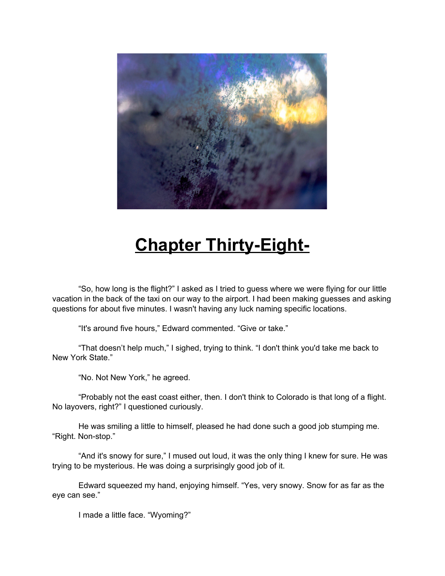

## **Chapter Thirty-Eight-**

"So, how long is the flight?" I asked as I tried to guess where we were flying for our little vacation in the back of the taxi on our way to the airport. I had been making guesses and asking questions for about five minutes. I wasn't having any luck naming specific locations.

"It's around five hours," Edward commented. "Give or take."

"That doesn't help much," I sighed, trying to think. "I don't think you'd take me back to New York State."

"No. Not New York," he agreed.

"Probably not the east coast either, then. I don't think to Colorado is that long of a flight. No layovers, right?" I questioned curiously.

He was smiling a little to himself, pleased he had done such a good job stumping me. "Right. Non-stop."

"And it's snowy for sure," I mused out loud, it was the only thing I knew for sure. He was trying to be mysterious. He was doing a surprisingly good job of it.

Edward squeezed my hand, enjoying himself. "Yes, very snowy. Snow for as far as the eye can see."

I made a little face. "Wyoming?"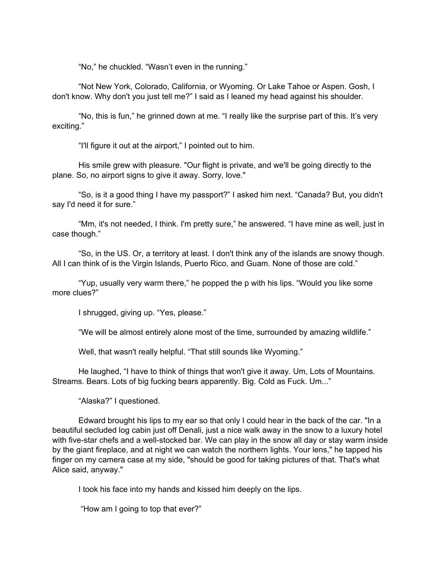"No," he chuckled. "Wasn't even in the running."

"Not New York, Colorado, California, or Wyoming. Or Lake Tahoe or Aspen. Gosh, I don't know. Why don't you just tell me?" I said as I leaned my head against his shoulder.

"No, this is fun," he grinned down at me. "I really like the surprise part of this. It's very exciting."

"I'll figure it out at the airport," I pointed out to him.

His smile grew with pleasure. "Our flight is private, and we'll be going directly to the plane. So, no airport signs to give it away. Sorry, love."

"So, is it a good thing I have my passport?" I asked him next. "Canada? But, you didn't say I'd need it for sure."

"Mm, it's not needed, I think. I'm pretty sure," he answered. "I have mine as well, just in case though."

"So, in the US. Or, a territory at least. I don't think any of the islands are snowy though. All I can think of is the Virgin Islands, Puerto Rico, and Guam. None of those are cold."

"Yup, usually very warm there," he popped the p with his lips. "Would you like some more clues?"

I shrugged, giving up. "Yes, please."

"We will be almost entirely alone most of the time, surrounded by amazing wildlife."

Well, that wasn't really helpful. "That still sounds like Wyoming."

He laughed, "I have to think of things that won't give it away. Um, Lots of Mountains. Streams. Bears. Lots of big fucking bears apparently. Big. Cold as Fuck. Um..."

"Alaska?" I questioned.

Edward brought his lips to my ear so that only I could hear in the back of the car. "In a beautiful secluded log cabin just off Denali, just a nice walk away in the snow to a luxury hotel with five-star chefs and a well-stocked bar. We can play in the snow all day or stay warm inside by the giant fireplace, and at night we can watch the northern lights. Your lens," he tapped his finger on my camera case at my side, "should be good for taking pictures of that. That's what Alice said, anyway."

I took his face into my hands and kissed him deeply on the lips.

"How am I going to top that ever?"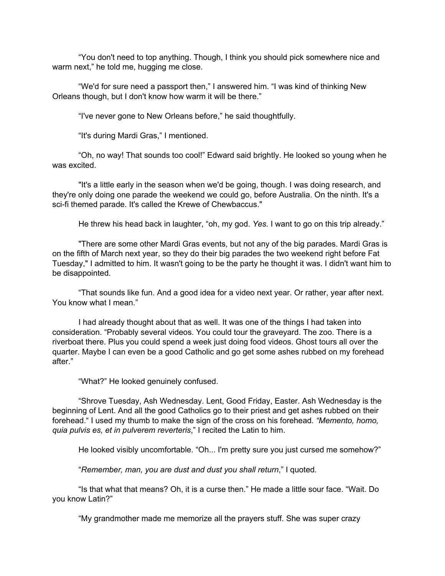"You don't need to top anything. Though, I think you should pick somewhere nice and warm next," he told me, hugging me close.

"We'd for sure need a passport then," I answered him. "I was kind of thinking New Orleans though, but I don't know how warm it will be there."

"I've never gone to New Orleans before," he said thoughtfully.

"It's during Mardi Gras," I mentioned.

"Oh, no way! That sounds too cool!" Edward said brightly. He looked so young when he was excited.

"It's a little early in the season when we'd be going, though. I was doing research, and they're only doing one parade the weekend we could go, before Australia. On the ninth. It's a sci-fi themed parade. It's called the Krewe of Chewbaccus."

He threw his head back in laughter, "oh, my god. *Yes.* I want to go on this trip already."

"There are some other Mardi Gras events, but not any of the big parades. Mardi Gras is on the fifth of March next year, so they do their big parades the two weekend right before Fat Tuesday," I admitted to him. It wasn't going to be the party he thought it was. I didn't want him to be disappointed.

"That sounds like fun. And a good idea for a video next year. Or rather, year after next. You know what I mean."

I had already thought about that as well. It was one of the things I had taken into consideration. "Probably several videos. You could tour the graveyard. The zoo. There is a riverboat there. Plus you could spend a week just doing food videos. Ghost tours all over the quarter. Maybe I can even be a good Catholic and go get some ashes rubbed on my forehead after."

"What?" He looked genuinely confused.

"Shrove Tuesday, Ash Wednesday. Lent, Good Friday, Easter. Ash Wednesday is the beginning of Lent. And all the good Catholics go to their priest and get ashes rubbed on their forehead." I used my thumb to make the sign of the cross on his forehead. *"Memento, homo, quia pulvis es, et in pulverem reverteris*," I recited the Latin to him.

He looked visibly uncomfortable. "Oh... I'm pretty sure you just cursed me somehow?"

"*Remember, man, you are dust and dust you shall return*," I quoted.

"Is that what that means? Oh, it is a curse then." He made a little sour face. "Wait. Do you know Latin?"

"My grandmother made me memorize all the prayers stuff. She was super crazy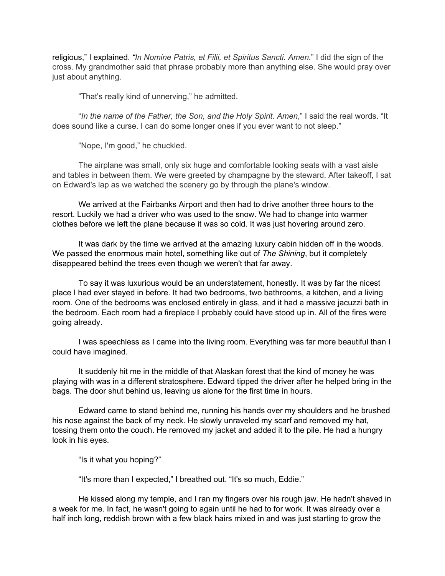religious," I explained. *"In Nomine Patris, et Filii, et Spiritus Sancti. Amen.*" I did the sign of the cross. My grandmother said that phrase probably more than anything else. She would pray over just about anything.

"That's really kind of unnerving," he admitted.

"*In the name of the Father, the Son, and the Holy Spirit. Amen*," I said the real words. "It does sound like a curse. I can do some longer ones if you ever want to not sleep."

"Nope, I'm good," he chuckled.

The airplane was small, only six huge and comfortable looking seats with a vast aisle and tables in between them. We were greeted by champagne by the steward. After takeoff, I sat on Edward's lap as we watched the scenery go by through the plane's window.

We arrived at the Fairbanks Airport and then had to drive another three hours to the resort. Luckily we had a driver who was used to the snow. We had to change into warmer clothes before we left the plane because it was so cold. It was just hovering around zero.

It was dark by the time we arrived at the amazing luxury cabin hidden off in the woods. We passed the enormous main hotel, something like out of *The Shining*, but it completely disappeared behind the trees even though we weren't that far away.

To say it was luxurious would be an understatement, honestly. It was by far the nicest place I had ever stayed in before. It had two bedrooms, two bathrooms, a kitchen, and a living room. One of the bedrooms was enclosed entirely in glass, and it had a massive jacuzzi bath in the bedroom. Each room had a fireplace I probably could have stood up in. All of the fires were going already.

I was speechless as I came into the living room. Everything was far more beautiful than I could have imagined.

It suddenly hit me in the middle of that Alaskan forest that the kind of money he was playing with was in a different stratosphere. Edward tipped the driver after he helped bring in the bags. The door shut behind us, leaving us alone for the first time in hours.

Edward came to stand behind me, running his hands over my shoulders and he brushed his nose against the back of my neck. He slowly unraveled my scarf and removed my hat, tossing them onto the couch. He removed my jacket and added it to the pile. He had a hungry look in his eyes.

"Is it what you hoping?"

"It's more than I expected," I breathed out. "It's so much, Eddie."

He kissed along my temple, and I ran my fingers over his rough jaw. He hadn't shaved in a week for me. In fact, he wasn't going to again until he had to for work. It was already over a half inch long, reddish brown with a few black hairs mixed in and was just starting to grow the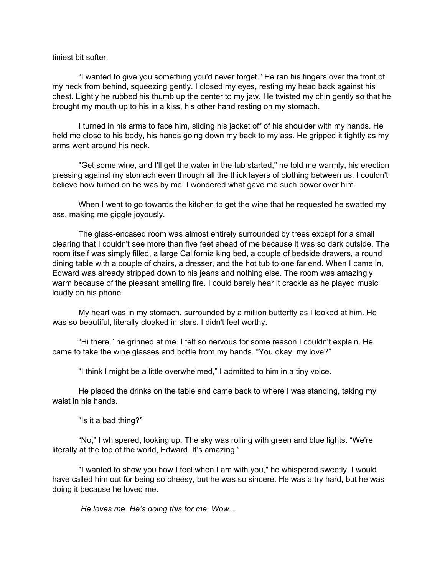## tiniest bit softer.

"I wanted to give you something you'd never forget." He ran his fingers over the front of my neck from behind, squeezing gently. I closed my eyes, resting my head back against his chest. Lightly he rubbed his thumb up the center to my jaw. He twisted my chin gently so that he brought my mouth up to his in a kiss, his other hand resting on my stomach.

I turned in his arms to face him, sliding his jacket off of his shoulder with my hands. He held me close to his body, his hands going down my back to my ass. He gripped it tightly as my arms went around his neck.

"Get some wine, and I'll get the water in the tub started," he told me warmly, his erection pressing against my stomach even through all the thick layers of clothing between us. I couldn't believe how turned on he was by me. I wondered what gave me such power over him.

When I went to go towards the kitchen to get the wine that he requested he swatted my ass, making me giggle joyously.

The glass-encased room was almost entirely surrounded by trees except for a small clearing that I couldn't see more than five feet ahead of me because it was so dark outside. The room itself was simply filled, a large California king bed, a couple of bedside drawers, a round dining table with a couple of chairs, a dresser, and the hot tub to one far end. When I came in, Edward was already stripped down to his jeans and nothing else. The room was amazingly warm because of the pleasant smelling fire. I could barely hear it crackle as he played music loudly on his phone.

My heart was in my stomach, surrounded by a million butterfly as I looked at him. He was so beautiful, literally cloaked in stars. I didn't feel worthy.

"Hi there," he grinned at me. I felt so nervous for some reason I couldn't explain. He came to take the wine glasses and bottle from my hands. "You okay, my love?"

"I think I might be a little overwhelmed," I admitted to him in a tiny voice.

He placed the drinks on the table and came back to where I was standing, taking my waist in his hands.

"Is it a bad thing?"

"No," I whispered, looking up. The sky was rolling with green and blue lights. "We're literally at the top of the world, Edward. It's amazing."

"I wanted to show you how I feel when I am with you," he whispered sweetly. I would have called him out for being so cheesy, but he was so sincere. He was a try hard, but he was doing it because he loved me.

*He loves me. He's doing this for me. Wow...*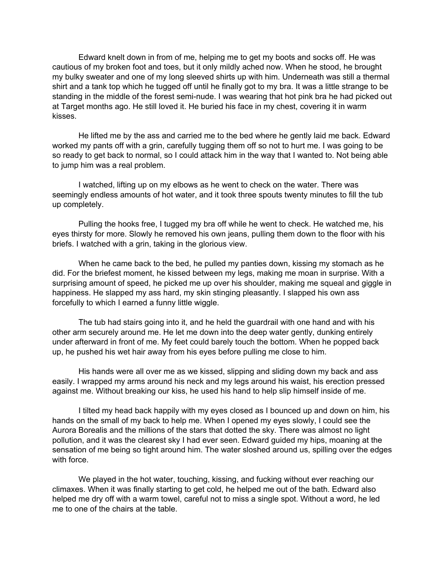Edward knelt down in from of me, helping me to get my boots and socks off. He was cautious of my broken foot and toes, but it only mildly ached now. When he stood, he brought my bulky sweater and one of my long sleeved shirts up with him. Underneath was still a thermal shirt and a tank top which he tugged off until he finally got to my bra. It was a little strange to be standing in the middle of the forest semi-nude. I was wearing that hot pink bra he had picked out at Target months ago. He still loved it. He buried his face in my chest, covering it in warm kisses.

He lifted me by the ass and carried me to the bed where he gently laid me back. Edward worked my pants off with a grin, carefully tugging them off so not to hurt me. I was going to be so ready to get back to normal, so I could attack him in the way that I wanted to. Not being able to jump him was a real problem.

I watched, lifting up on my elbows as he went to check on the water. There was seemingly endless amounts of hot water, and it took three spouts twenty minutes to fill the tub up completely.

Pulling the hooks free, I tugged my bra off while he went to check. He watched me, his eyes thirsty for more. Slowly he removed his own jeans, pulling them down to the floor with his briefs. I watched with a grin, taking in the glorious view.

When he came back to the bed, he pulled my panties down, kissing my stomach as he did. For the briefest moment, he kissed between my legs, making me moan in surprise. With a surprising amount of speed, he picked me up over his shoulder, making me squeal and giggle in happiness. He slapped my ass hard, my skin stinging pleasantly. I slapped his own ass forcefully to which I earned a funny little wiggle.

The tub had stairs going into it, and he held the guardrail with one hand and with his other arm securely around me. He let me down into the deep water gently, dunking entirely under afterward in front of me. My feet could barely touch the bottom. When he popped back up, he pushed his wet hair away from his eyes before pulling me close to him.

His hands were all over me as we kissed, slipping and sliding down my back and ass easily. I wrapped my arms around his neck and my legs around his waist, his erection pressed against me. Without breaking our kiss, he used his hand to help slip himself inside of me.

I tilted my head back happily with my eyes closed as I bounced up and down on him, his hands on the small of my back to help me. When I opened my eyes slowly, I could see the Aurora Borealis and the millions of the stars that dotted the sky. There was almost no light pollution, and it was the clearest sky I had ever seen. Edward guided my hips, moaning at the sensation of me being so tight around him. The water sloshed around us, spilling over the edges with force.

We played in the hot water, touching, kissing, and fucking without ever reaching our climaxes. When it was finally starting to get cold, he helped me out of the bath. Edward also helped me dry off with a warm towel, careful not to miss a single spot. Without a word, he led me to one of the chairs at the table.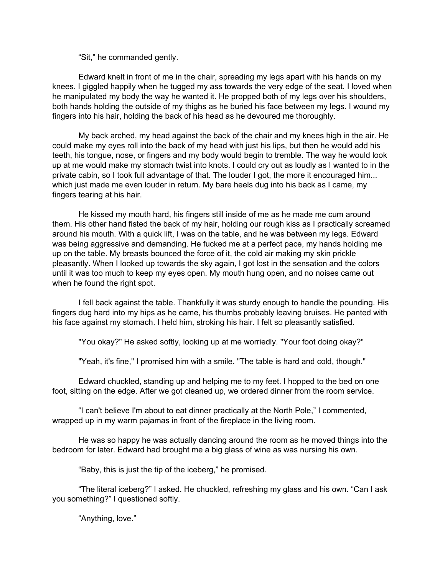"Sit," he commanded gently.

Edward knelt in front of me in the chair, spreading my legs apart with his hands on my knees. I giggled happily when he tugged my ass towards the very edge of the seat. I loved when he manipulated my body the way he wanted it. He propped both of my legs over his shoulders, both hands holding the outside of my thighs as he buried his face between my legs. I wound my fingers into his hair, holding the back of his head as he devoured me thoroughly.

My back arched, my head against the back of the chair and my knees high in the air. He could make my eyes roll into the back of my head with just his lips, but then he would add his teeth, his tongue, nose, or fingers and my body would begin to tremble. The way he would look up at me would make my stomach twist into knots. I could cry out as loudly as I wanted to in the private cabin, so I took full advantage of that. The louder I got, the more it encouraged him... which just made me even louder in return. My bare heels dug into his back as I came, my fingers tearing at his hair.

He kissed my mouth hard, his fingers still inside of me as he made me cum around them. His other hand fisted the back of my hair, holding our rough kiss as I practically screamed around his mouth. With a quick lift, I was on the table, and he was between my legs. Edward was being aggressive and demanding. He fucked me at a perfect pace, my hands holding me up on the table. My breasts bounced the force of it, the cold air making my skin prickle pleasantly. When I looked up towards the sky again, I got lost in the sensation and the colors until it was too much to keep my eyes open. My mouth hung open, and no noises came out when he found the right spot.

I fell back against the table. Thankfully it was sturdy enough to handle the pounding. His fingers dug hard into my hips as he came, his thumbs probably leaving bruises. He panted with his face against my stomach. I held him, stroking his hair. I felt so pleasantly satisfied.

"You okay?" He asked softly, looking up at me worriedly. "Your foot doing okay?"

"Yeah, it's fine," I promised him with a smile. "The table is hard and cold, though."

Edward chuckled, standing up and helping me to my feet. I hopped to the bed on one foot, sitting on the edge. After we got cleaned up, we ordered dinner from the room service.

"I can't believe I'm about to eat dinner practically at the North Pole," I commented, wrapped up in my warm pajamas in front of the fireplace in the living room.

He was so happy he was actually dancing around the room as he moved things into the bedroom for later. Edward had brought me a big glass of wine as was nursing his own.

"Baby, this is just the tip of the iceberg," he promised.

"The literal iceberg?" I asked. He chuckled, refreshing my glass and his own. "Can I ask you something?" I questioned softly.

"Anything, love."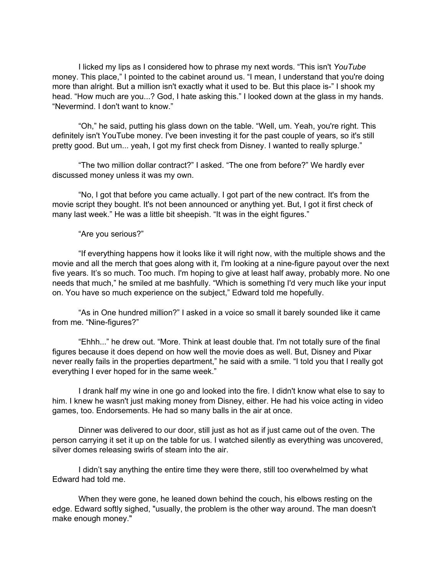I licked my lips as I considered how to phrase my next words. "This isn't *YouTube* money. This place," I pointed to the cabinet around us. "I mean, I understand that you're doing more than alright. But a million isn't exactly what it used to be. But this place is-" I shook my head. "How much are you...? God, I hate asking this." I looked down at the glass in my hands. "Nevermind. I don't want to know."

"Oh," he said, putting his glass down on the table. "Well, um. Yeah, you're right. This definitely isn't YouTube money. I've been investing it for the past couple of years, so it's still pretty good. But um... yeah, I got my first check from Disney. I wanted to really splurge."

"The two million dollar contract?" I asked. "The one from before?" We hardly ever discussed money unless it was my own.

"No, I got that before you came actually. I got part of the new contract. It's from the movie script they bought. It's not been announced or anything yet. But, I got it first check of many last week." He was a little bit sheepish. "It was in the eight figures."

"Are you serious?"

"If everything happens how it looks like it will right now, with the multiple shows and the movie and all the merch that goes along with it, I'm looking at a nine-figure payout over the next five years. It's so much. Too much. I'm hoping to give at least half away, probably more. No one needs that much," he smiled at me bashfully. "Which is something I'd very much like your input on. You have so much experience on the subject," Edward told me hopefully.

"As in One hundred million?" I asked in a voice so small it barely sounded like it came from me. "Nine-figures?"

"Ehhh..." he drew out. "More. Think at least double that. I'm not totally sure of the final figures because it does depend on how well the movie does as well. But, Disney and Pixar never really fails in the properties department," he said with a smile. "I told you that I really got everything I ever hoped for in the same week."

I drank half my wine in one go and looked into the fire. I didn't know what else to say to him. I knew he wasn't just making money from Disney, either. He had his voice acting in video games, too. Endorsements. He had so many balls in the air at once.

Dinner was delivered to our door, still just as hot as if just came out of the oven. The person carrying it set it up on the table for us. I watched silently as everything was uncovered, silver domes releasing swirls of steam into the air.

I didn't say anything the entire time they were there, still too overwhelmed by what Edward had told me.

When they were gone, he leaned down behind the couch, his elbows resting on the edge. Edward softly sighed, "usually, the problem is the other way around. The man doesn't make enough money."